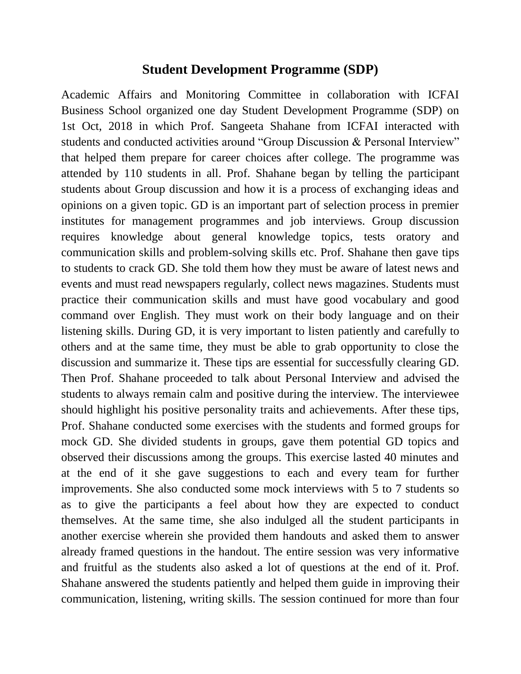## **Student Development Programme (SDP)**

Academic Affairs and Monitoring Committee in collaboration with ICFAI Business School organized one day Student Development Programme (SDP) on 1st Oct, 2018 in which Prof. Sangeeta Shahane from ICFAI interacted with students and conducted activities around "Group Discussion & Personal Interview" that helped them prepare for career choices after college. The programme was attended by 110 students in all. Prof. Shahane began by telling the participant students about Group discussion and how it is a process of exchanging ideas and opinions on a given topic. GD is an important part of selection process in premier institutes for management programmes and job interviews. Group discussion requires knowledge about general knowledge topics, tests oratory and communication skills and problem-solving skills etc. Prof. Shahane then gave tips to students to crack GD. She told them how they must be aware of latest news and events and must read newspapers regularly, collect news magazines. Students must practice their communication skills and must have good vocabulary and good command over English. They must work on their body language and on their listening skills. During GD, it is very important to listen patiently and carefully to others and at the same time, they must be able to grab opportunity to close the discussion and summarize it. These tips are essential for successfully clearing GD. Then Prof. Shahane proceeded to talk about Personal Interview and advised the students to always remain calm and positive during the interview. The interviewee should highlight his positive personality traits and achievements. After these tips, Prof. Shahane conducted some exercises with the students and formed groups for mock GD. She divided students in groups, gave them potential GD topics and observed their discussions among the groups. This exercise lasted 40 minutes and at the end of it she gave suggestions to each and every team for further improvements. She also conducted some mock interviews with 5 to 7 students so as to give the participants a feel about how they are expected to conduct themselves. At the same time, she also indulged all the student participants in another exercise wherein she provided them handouts and asked them to answer already framed questions in the handout. The entire session was very informative and fruitful as the students also asked a lot of questions at the end of it. Prof. Shahane answered the students patiently and helped them guide in improving their communication, listening, writing skills. The session continued for more than four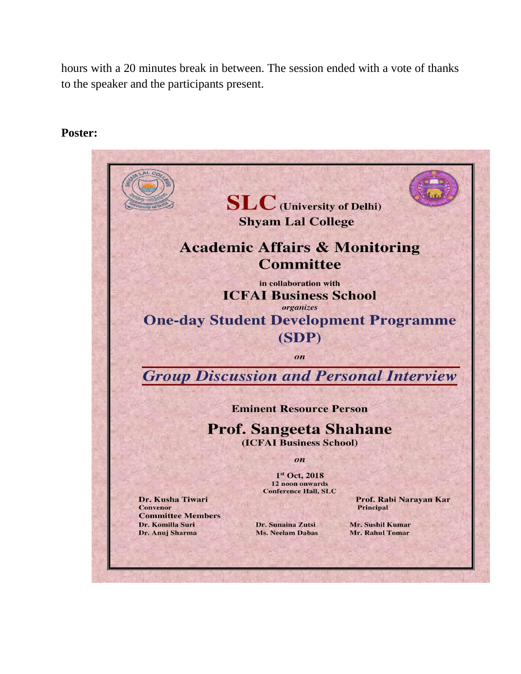hours with a 20 minutes break in between. The session ended with a vote of thanks to the speaker and the participants present.

## **Poster:**